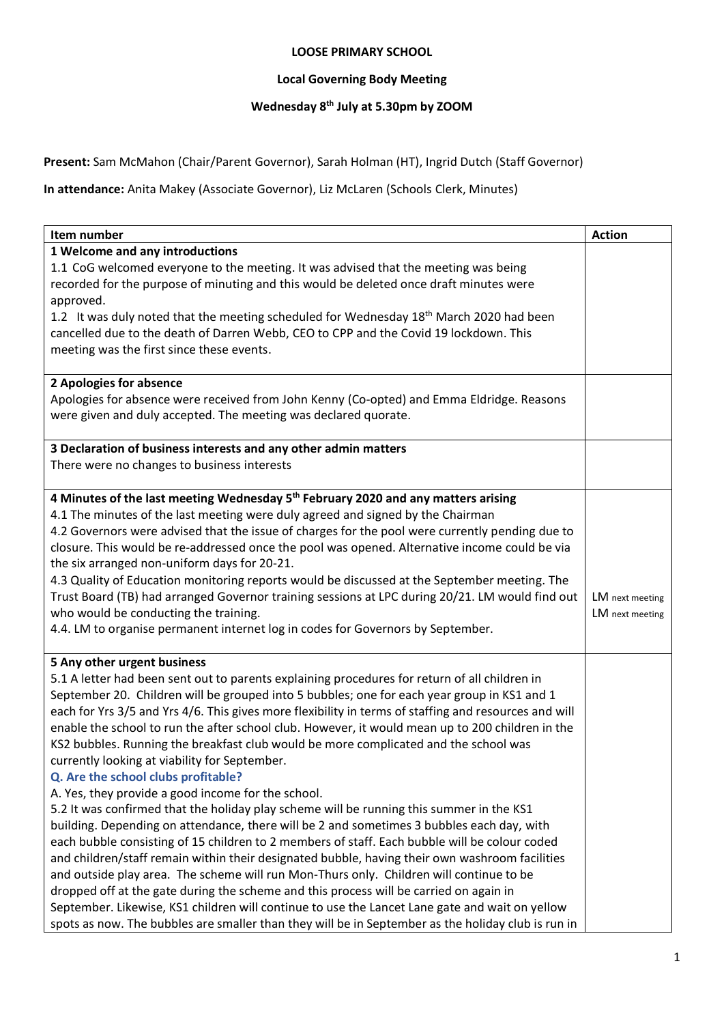## **LOOSE PRIMARY SCHOOL**

## **Local Governing Body Meeting**

## **Wednesday 8th July at 5.30pm by ZOOM**

**Present:** Sam McMahon (Chair/Parent Governor), Sarah Holman (HT), Ingrid Dutch (Staff Governor)

**In attendance:** Anita Makey (Associate Governor), Liz McLaren (Schools Clerk, Minutes)

| Item number                                                                                           |                 |
|-------------------------------------------------------------------------------------------------------|-----------------|
| 1 Welcome and any introductions                                                                       |                 |
| 1.1 CoG welcomed everyone to the meeting. It was advised that the meeting was being                   |                 |
| recorded for the purpose of minuting and this would be deleted once draft minutes were                |                 |
| approved.                                                                                             |                 |
| 1.2 It was duly noted that the meeting scheduled for Wednesday 18 <sup>th</sup> March 2020 had been   |                 |
| cancelled due to the death of Darren Webb, CEO to CPP and the Covid 19 lockdown. This                 |                 |
| meeting was the first since these events.                                                             |                 |
|                                                                                                       |                 |
| 2 Apologies for absence                                                                               |                 |
| Apologies for absence were received from John Kenny (Co-opted) and Emma Eldridge. Reasons             |                 |
| were given and duly accepted. The meeting was declared quorate.                                       |                 |
| 3 Declaration of business interests and any other admin matters                                       |                 |
| There were no changes to business interests                                                           |                 |
|                                                                                                       |                 |
| 4 Minutes of the last meeting Wednesday 5 <sup>th</sup> February 2020 and any matters arising         |                 |
| 4.1 The minutes of the last meeting were duly agreed and signed by the Chairman                       |                 |
| 4.2 Governors were advised that the issue of charges for the pool were currently pending due to       |                 |
| closure. This would be re-addressed once the pool was opened. Alternative income could be via         |                 |
| the six arranged non-uniform days for 20-21.                                                          |                 |
| 4.3 Quality of Education monitoring reports would be discussed at the September meeting. The          |                 |
| Trust Board (TB) had arranged Governor training sessions at LPC during 20/21. LM would find out       | LM next meeting |
| who would be conducting the training.                                                                 | LM next meeting |
| 4.4. LM to organise permanent internet log in codes for Governors by September.                       |                 |
| 5 Any other urgent business                                                                           |                 |
| 5.1 A letter had been sent out to parents explaining procedures for return of all children in         |                 |
| September 20. Children will be grouped into 5 bubbles; one for each year group in KS1 and 1           |                 |
| each for Yrs 3/5 and Yrs 4/6. This gives more flexibility in terms of staffing and resources and will |                 |
| enable the school to run the after school club. However, it would mean up to 200 children in the      |                 |
| KS2 bubbles. Running the breakfast club would be more complicated and the school was                  |                 |
| currently looking at viability for September.                                                         |                 |
| Q. Are the school clubs profitable?                                                                   |                 |
| A. Yes, they provide a good income for the school.                                                    |                 |
| 5.2 It was confirmed that the holiday play scheme will be running this summer in the KS1              |                 |
| building. Depending on attendance, there will be 2 and sometimes 3 bubbles each day, with             |                 |
| each bubble consisting of 15 children to 2 members of staff. Each bubble will be colour coded         |                 |
| and children/staff remain within their designated bubble, having their own washroom facilities        |                 |
| and outside play area. The scheme will run Mon-Thurs only. Children will continue to be               |                 |
| dropped off at the gate during the scheme and this process will be carried on again in                |                 |
| September. Likewise, KS1 children will continue to use the Lancet Lane gate and wait on yellow        |                 |
| spots as now. The bubbles are smaller than they will be in September as the holiday club is run in    |                 |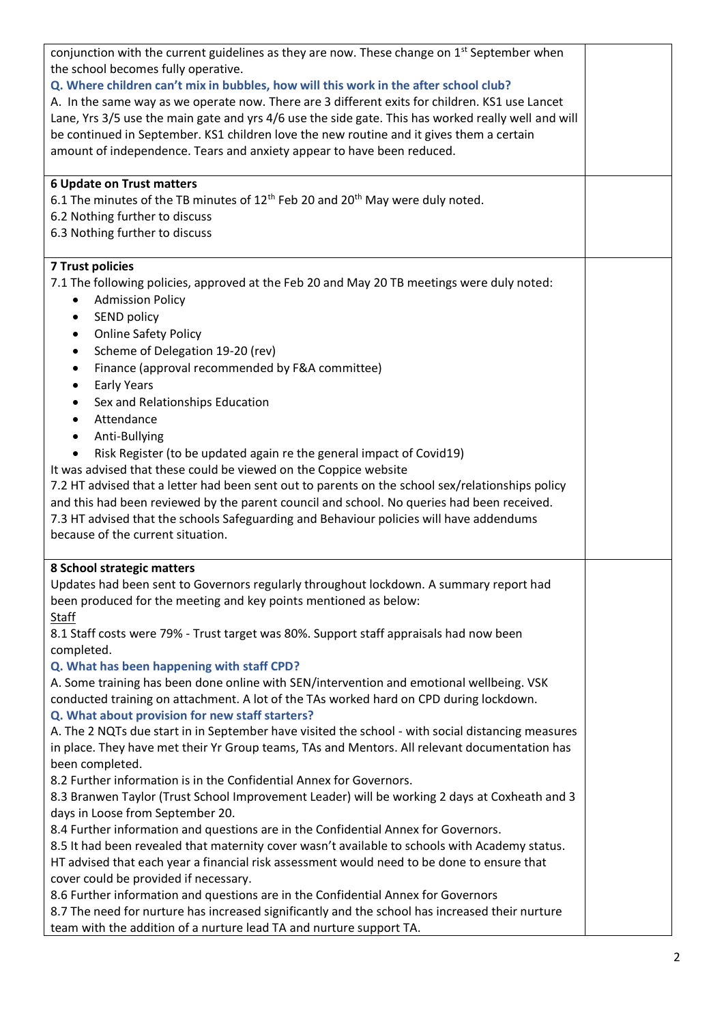| conjunction with the current guidelines as they are now. These change on $1^{st}$ September when<br>the school becomes fully operative.<br>Q. Where children can't mix in bubbles, how will this work in the after school club?<br>A. In the same way as we operate now. There are 3 different exits for children. KS1 use Lancet<br>Lane, Yrs 3/5 use the main gate and yrs 4/6 use the side gate. This has worked really well and will<br>be continued in September. KS1 children love the new routine and it gives them a certain<br>amount of independence. Tears and anxiety appear to have been reduced.<br>6 Update on Trust matters<br>6.1 The minutes of the TB minutes of $12th$ Feb 20 and $20th$ May were duly noted.                                                                                                                                                                                                                                                                                                                                                                                                                                                                                                                                                                                                                                                                                                                                                                                                                                                                                                          |  |
|--------------------------------------------------------------------------------------------------------------------------------------------------------------------------------------------------------------------------------------------------------------------------------------------------------------------------------------------------------------------------------------------------------------------------------------------------------------------------------------------------------------------------------------------------------------------------------------------------------------------------------------------------------------------------------------------------------------------------------------------------------------------------------------------------------------------------------------------------------------------------------------------------------------------------------------------------------------------------------------------------------------------------------------------------------------------------------------------------------------------------------------------------------------------------------------------------------------------------------------------------------------------------------------------------------------------------------------------------------------------------------------------------------------------------------------------------------------------------------------------------------------------------------------------------------------------------------------------------------------------------------------------|--|
| 6.2 Nothing further to discuss<br>6.3 Nothing further to discuss                                                                                                                                                                                                                                                                                                                                                                                                                                                                                                                                                                                                                                                                                                                                                                                                                                                                                                                                                                                                                                                                                                                                                                                                                                                                                                                                                                                                                                                                                                                                                                           |  |
| <b>7 Trust policies</b><br>7.1 The following policies, approved at the Feb 20 and May 20 TB meetings were duly noted:<br><b>Admission Policy</b><br>$\bullet$<br>SEND policy<br>$\bullet$<br><b>Online Safety Policy</b><br>$\bullet$<br>Scheme of Delegation 19-20 (rev)<br>$\bullet$<br>Finance (approval recommended by F&A committee)<br>$\bullet$<br><b>Early Years</b><br>$\bullet$<br>Sex and Relationships Education<br>$\bullet$<br>Attendance<br>$\bullet$<br>Anti-Bullying<br>$\bullet$<br>Risk Register (to be updated again re the general impact of Covid19)<br>It was advised that these could be viewed on the Coppice website<br>7.2 HT advised that a letter had been sent out to parents on the school sex/relationships policy<br>and this had been reviewed by the parent council and school. No queries had been received.<br>7.3 HT advised that the schools Safeguarding and Behaviour policies will have addendums<br>because of the current situation.                                                                                                                                                                                                                                                                                                                                                                                                                                                                                                                                                                                                                                                           |  |
| 8 School strategic matters<br>Updates had been sent to Governors regularly throughout lockdown. A summary report had<br>been produced for the meeting and key points mentioned as below:<br><b>Staff</b><br>8.1 Staff costs were 79% - Trust target was 80%. Support staff appraisals had now been<br>completed.<br>Q. What has been happening with staff CPD?<br>A. Some training has been done online with SEN/intervention and emotional wellbeing. VSK<br>conducted training on attachment. A lot of the TAs worked hard on CPD during lockdown.<br>Q. What about provision for new staff starters?<br>A. The 2 NQTs due start in in September have visited the school - with social distancing measures<br>in place. They have met their Yr Group teams, TAs and Mentors. All relevant documentation has<br>been completed.<br>8.2 Further information is in the Confidential Annex for Governors.<br>8.3 Branwen Taylor (Trust School Improvement Leader) will be working 2 days at Coxheath and 3<br>days in Loose from September 20.<br>8.4 Further information and questions are in the Confidential Annex for Governors.<br>8.5 It had been revealed that maternity cover wasn't available to schools with Academy status.<br>HT advised that each year a financial risk assessment would need to be done to ensure that<br>cover could be provided if necessary.<br>8.6 Further information and questions are in the Confidential Annex for Governors<br>8.7 The need for nurture has increased significantly and the school has increased their nurture<br>team with the addition of a nurture lead TA and nurture support TA. |  |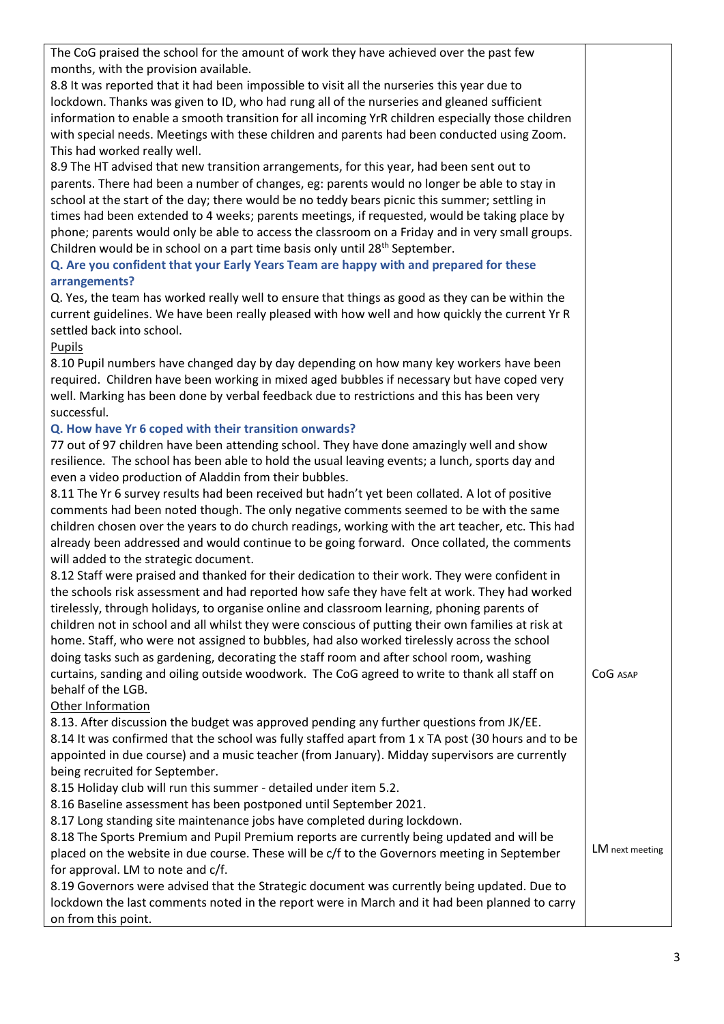| The CoG praised the school for the amount of work they have achieved over the past few<br>months, with the provision available. |                 |
|---------------------------------------------------------------------------------------------------------------------------------|-----------------|
| 8.8 It was reported that it had been impossible to visit all the nurseries this year due to                                     |                 |
| lockdown. Thanks was given to ID, who had rung all of the nurseries and gleaned sufficient                                      |                 |
| information to enable a smooth transition for all incoming YrR children especially those children                               |                 |
| with special needs. Meetings with these children and parents had been conducted using Zoom.                                     |                 |
| This had worked really well.                                                                                                    |                 |
| 8.9 The HT advised that new transition arrangements, for this year, had been sent out to                                        |                 |
| parents. There had been a number of changes, eg: parents would no longer be able to stay in                                     |                 |
| school at the start of the day; there would be no teddy bears picnic this summer; settling in                                   |                 |
| times had been extended to 4 weeks; parents meetings, if requested, would be taking place by                                    |                 |
| phone; parents would only be able to access the classroom on a Friday and in very small groups.                                 |                 |
| Children would be in school on a part time basis only until 28 <sup>th</sup> September.                                         |                 |
| Q. Are you confident that your Early Years Team are happy with and prepared for these                                           |                 |
| arrangements?                                                                                                                   |                 |
| Q. Yes, the team has worked really well to ensure that things as good as they can be within the                                 |                 |
| current guidelines. We have been really pleased with how well and how quickly the current Yr R                                  |                 |
| settled back into school.                                                                                                       |                 |
| <b>Pupils</b>                                                                                                                   |                 |
| 8.10 Pupil numbers have changed day by day depending on how many key workers have been                                          |                 |
| required. Children have been working in mixed aged bubbles if necessary but have coped very                                     |                 |
| well. Marking has been done by verbal feedback due to restrictions and this has been very                                       |                 |
| successful.                                                                                                                     |                 |
| Q. How have Yr 6 coped with their transition onwards?                                                                           |                 |
| 77 out of 97 children have been attending school. They have done amazingly well and show                                        |                 |
| resilience. The school has been able to hold the usual leaving events; a lunch, sports day and                                  |                 |
| even a video production of Aladdin from their bubbles.                                                                          |                 |
| 8.11 The Yr 6 survey results had been received but hadn't yet been collated. A lot of positive                                  |                 |
| comments had been noted though. The only negative comments seemed to be with the same                                           |                 |
| children chosen over the years to do church readings, working with the art teacher, etc. This had                               |                 |
| already been addressed and would continue to be going forward. Once collated, the comments                                      |                 |
| will added to the strategic document.                                                                                           |                 |
| 8.12 Staff were praised and thanked for their dedication to their work. They were confident in                                  |                 |
| the schools risk assessment and had reported how safe they have felt at work. They had worked                                   |                 |
| tirelessly, through holidays, to organise online and classroom learning, phoning parents of                                     |                 |
| children not in school and all whilst they were conscious of putting their own families at risk at                              |                 |
| home. Staff, who were not assigned to bubbles, had also worked tirelessly across the school                                     |                 |
| doing tasks such as gardening, decorating the staff room and after school room, washing                                         |                 |
| curtains, sanding and oiling outside woodwork. The CoG agreed to write to thank all staff on<br>behalf of the LGB.              | CoG ASAP        |
| Other Information                                                                                                               |                 |
| 8.13. After discussion the budget was approved pending any further questions from JK/EE.                                        |                 |
| 8.14 It was confirmed that the school was fully staffed apart from 1 x TA post (30 hours and to be                              |                 |
| appointed in due course) and a music teacher (from January). Midday supervisors are currently                                   |                 |
| being recruited for September.                                                                                                  |                 |
| 8.15 Holiday club will run this summer - detailed under item 5.2.                                                               |                 |
| 8.16 Baseline assessment has been postponed until September 2021.                                                               |                 |
| 8.17 Long standing site maintenance jobs have completed during lockdown.                                                        |                 |
| 8.18 The Sports Premium and Pupil Premium reports are currently being updated and will be                                       |                 |
| placed on the website in due course. These will be c/f to the Governors meeting in September                                    | LM next meeting |
| for approval. LM to note and c/f.                                                                                               |                 |
| 8.19 Governors were advised that the Strategic document was currently being updated. Due to                                     |                 |
| lockdown the last comments noted in the report were in March and it had been planned to carry                                   |                 |
| on from this point.                                                                                                             |                 |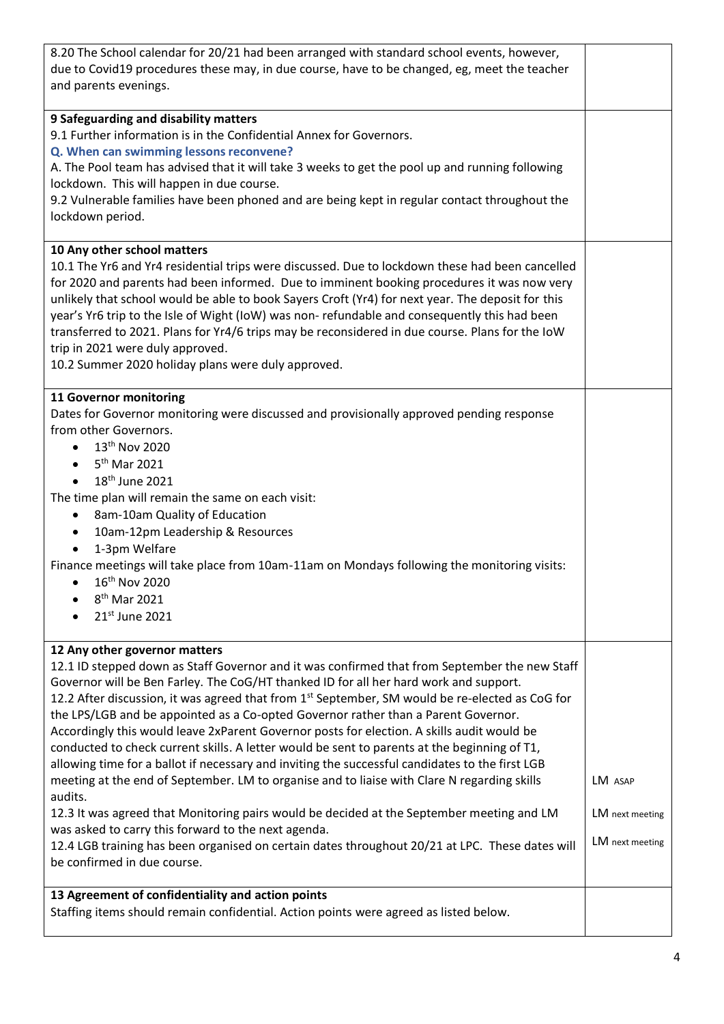| 8.20 The School calendar for 20/21 had been arranged with standard school events, however,<br>due to Covid19 procedures these may, in due course, have to be changed, eg, meet the teacher<br>and parents evenings.                                                                                                                                                                                                                                                                                                                                                                                                                                                                                                                                                                                                                                                                                                                                                                                                                                                                                                           |                                               |  |  |
|-------------------------------------------------------------------------------------------------------------------------------------------------------------------------------------------------------------------------------------------------------------------------------------------------------------------------------------------------------------------------------------------------------------------------------------------------------------------------------------------------------------------------------------------------------------------------------------------------------------------------------------------------------------------------------------------------------------------------------------------------------------------------------------------------------------------------------------------------------------------------------------------------------------------------------------------------------------------------------------------------------------------------------------------------------------------------------------------------------------------------------|-----------------------------------------------|--|--|
| 9 Safeguarding and disability matters<br>9.1 Further information is in the Confidential Annex for Governors.<br>Q. When can swimming lessons reconvene?<br>A. The Pool team has advised that it will take 3 weeks to get the pool up and running following<br>lockdown. This will happen in due course.<br>9.2 Vulnerable families have been phoned and are being kept in regular contact throughout the<br>lockdown period.                                                                                                                                                                                                                                                                                                                                                                                                                                                                                                                                                                                                                                                                                                  |                                               |  |  |
| 10 Any other school matters<br>10.1 The Yr6 and Yr4 residential trips were discussed. Due to lockdown these had been cancelled<br>for 2020 and parents had been informed. Due to imminent booking procedures it was now very<br>unlikely that school would be able to book Sayers Croft (Yr4) for next year. The deposit for this<br>year's Yr6 trip to the Isle of Wight (IoW) was non-refundable and consequently this had been<br>transferred to 2021. Plans for Yr4/6 trips may be reconsidered in due course. Plans for the IoW<br>trip in 2021 were duly approved.<br>10.2 Summer 2020 holiday plans were duly approved.                                                                                                                                                                                                                                                                                                                                                                                                                                                                                                |                                               |  |  |
| <b>11 Governor monitoring</b><br>Dates for Governor monitoring were discussed and provisionally approved pending response<br>from other Governors.<br>13 <sup>th</sup> Nov 2020<br>$\bullet$<br>$\bullet$ 5 <sup>th</sup> Mar 2021<br>18 <sup>th</sup> June 2021<br>The time plan will remain the same on each visit:<br>8am-10am Quality of Education<br>$\bullet$<br>10am-12pm Leadership & Resources<br>$\bullet$<br>1-3pm Welfare<br>Finance meetings will take place from 10am-11am on Mondays following the monitoring visits:<br>16th Nov 2020<br>$\bullet$<br>8 <sup>th</sup> Mar 2021<br>21st June 2021                                                                                                                                                                                                                                                                                                                                                                                                                                                                                                              |                                               |  |  |
| 12 Any other governor matters<br>12.1 ID stepped down as Staff Governor and it was confirmed that from September the new Staff<br>Governor will be Ben Farley. The CoG/HT thanked ID for all her hard work and support.<br>12.2 After discussion, it was agreed that from 1 <sup>st</sup> September, SM would be re-elected as CoG for<br>the LPS/LGB and be appointed as a Co-opted Governor rather than a Parent Governor.<br>Accordingly this would leave 2xParent Governor posts for election. A skills audit would be<br>conducted to check current skills. A letter would be sent to parents at the beginning of T1,<br>allowing time for a ballot if necessary and inviting the successful candidates to the first LGB<br>meeting at the end of September. LM to organise and to liaise with Clare N regarding skills<br>audits.<br>12.3 It was agreed that Monitoring pairs would be decided at the September meeting and LM<br>was asked to carry this forward to the next agenda.<br>12.4 LGB training has been organised on certain dates throughout 20/21 at LPC. These dates will<br>be confirmed in due course. | LM ASAP<br>LM next meeting<br>LM next meeting |  |  |
| 13 Agreement of confidentiality and action points<br>Staffing items should remain confidential. Action points were agreed as listed below.                                                                                                                                                                                                                                                                                                                                                                                                                                                                                                                                                                                                                                                                                                                                                                                                                                                                                                                                                                                    |                                               |  |  |